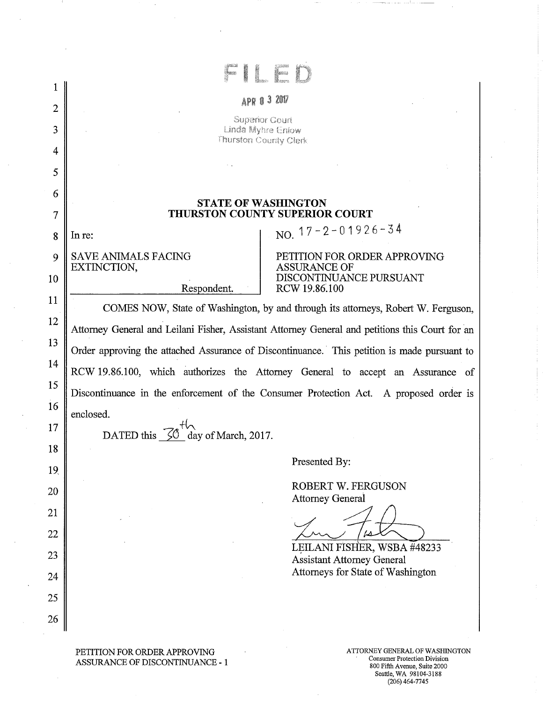|                |                                                                                                                                                                                      | 3 2017                                                           |  |  |  |
|----------------|--------------------------------------------------------------------------------------------------------------------------------------------------------------------------------------|------------------------------------------------------------------|--|--|--|
| $\overline{2}$ | APR 0                                                                                                                                                                                |                                                                  |  |  |  |
| 3              | <b>Superior Gourt</b><br>Linda Myhre Enlow<br>Thurston County Clerk                                                                                                                  |                                                                  |  |  |  |
| 4              |                                                                                                                                                                                      |                                                                  |  |  |  |
| 5              |                                                                                                                                                                                      |                                                                  |  |  |  |
| 6              | <b>STATE OF WASHINGTON</b>                                                                                                                                                           |                                                                  |  |  |  |
| 7              |                                                                                                                                                                                      | <b>THURSTON COUNTY SUPERIOR COURT</b>                            |  |  |  |
| 8              | In re:                                                                                                                                                                               | NO. $17 - 2 - 01926 - 34$                                        |  |  |  |
| 9              | <b>SAVE ANIMALS FACING</b><br>EXTINCTION,                                                                                                                                            | PETITION FOR ORDER APPROVING<br><b>ASSURANCE OF</b>              |  |  |  |
| 10             | Respondent.                                                                                                                                                                          | DISCONTINUANCE PURSUANT<br>RCW 19.86.100                         |  |  |  |
| 11             | COMES NOW, State of Washington, by and through its attorneys, Robert W. Ferguson,<br>Attorney General and Leilani Fisher, Assistant Attorney General and petitions this Court for an |                                                                  |  |  |  |
| 12             |                                                                                                                                                                                      |                                                                  |  |  |  |
| 13             | Order approving the attached Assurance of Discontinuance. This petition is made pursuant to                                                                                          |                                                                  |  |  |  |
| 14             | RCW 19.86.100, which authorizes the Attorney General to accept an Assurance of<br>Discontinuance in the enforcement of the Consumer Protection Act. A proposed order is              |                                                                  |  |  |  |
| 15             |                                                                                                                                                                                      |                                                                  |  |  |  |
| 16             | enclosed.                                                                                                                                                                            |                                                                  |  |  |  |
| 17<br>18       | DATED this<br>day of March, 2017.                                                                                                                                                    |                                                                  |  |  |  |
| 19             |                                                                                                                                                                                      | Presented By:                                                    |  |  |  |
| 20             |                                                                                                                                                                                      | <b>ROBERT W. FERGUSON</b>                                        |  |  |  |
| 21             |                                                                                                                                                                                      | <b>Attorney General</b>                                          |  |  |  |
| 22             |                                                                                                                                                                                      |                                                                  |  |  |  |
| 23             |                                                                                                                                                                                      | LEILANI FISHER, WSBA #48233<br><b>Assistant Attorney General</b> |  |  |  |
| 24             |                                                                                                                                                                                      | Attorneys for State of Washington                                |  |  |  |
| 25             |                                                                                                                                                                                      |                                                                  |  |  |  |
|                |                                                                                                                                                                                      |                                                                  |  |  |  |

PETITION FOR ORDER APPROVING ASSURANCE OF DISCONTINUANCE -  $1$ 

800 Fifth Avenue, Suite 2000 Seattle, WA 98104-3188 (206) 464-7745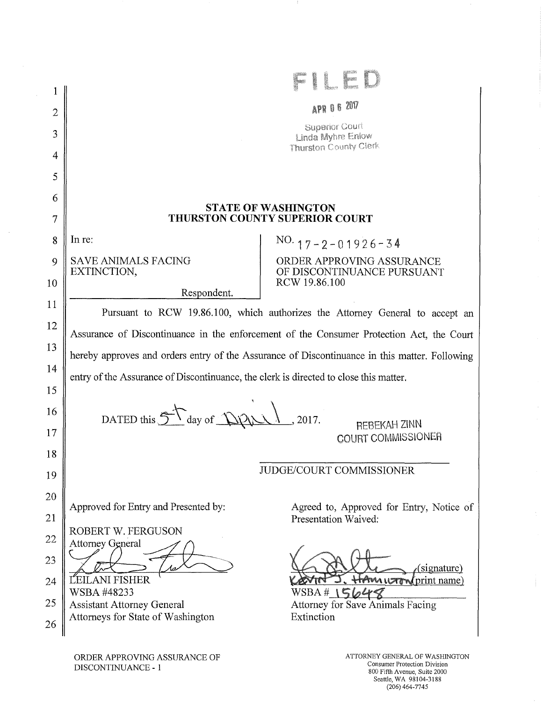|    |                                                                                               | <b>APR 0 6 2017</b>                                              |  |  |
|----|-----------------------------------------------------------------------------------------------|------------------------------------------------------------------|--|--|
| 2  |                                                                                               | Superior Court                                                   |  |  |
| 3  |                                                                                               | Linda Myhre Enlow<br>Thurston County Clerk                       |  |  |
| 4  |                                                                                               |                                                                  |  |  |
| 5  |                                                                                               |                                                                  |  |  |
| 6  | <b>STATE OF WASHINGTON</b>                                                                    |                                                                  |  |  |
| 7  | THURSTON COUNTY SUPERIOR COURT                                                                |                                                                  |  |  |
| 8  | In re:                                                                                        | $NO. 17 - 2 - 01926 - 34$                                        |  |  |
| 9  | <b>SAVE ANIMALS FACING</b><br>EXTINCTION,                                                     | ORDER APPROVING ASSURANCE<br>OF DISCONTINUANCE PURSUANT          |  |  |
| 10 | Respondent.                                                                                   | RCW 19.86.100                                                    |  |  |
| 11 | Pursuant to RCW 19.86.100, which authorizes the Attorney General to accept an                 |                                                                  |  |  |
| 12 | Assurance of Discontinuance in the enforcement of the Consumer Protection Act, the Court      |                                                                  |  |  |
| 13 | hereby approves and orders entry of the Assurance of Discontinuance in this matter. Following |                                                                  |  |  |
| 14 | entry of the Assurance of Discontinuance, the clerk is directed to close this matter.         |                                                                  |  |  |
| 15 |                                                                                               |                                                                  |  |  |
| 16 | DATED this $5$ day of $DPL$<br>, 2017.                                                        |                                                                  |  |  |
| 17 |                                                                                               | <b>REBEKAH ZINN</b><br>COURT COMMISSIONER                        |  |  |
| 18 |                                                                                               |                                                                  |  |  |
| 19 | <b>JUDGE/COURT COMMISSIONER</b>                                                               |                                                                  |  |  |
| 20 |                                                                                               |                                                                  |  |  |
| 21 | Approved for Entry and Presented by:                                                          | Agreed to, Approved for Entry, Notice of<br>Presentation Waived: |  |  |
| 22 | ROBERT W. FERGUSON<br><b>Attorney General</b>                                                 |                                                                  |  |  |
| 23 |                                                                                               |                                                                  |  |  |
| 24 | ĽEILANI FISHER                                                                                | (signature)<br><b>HAMUTTN</b> print name)                        |  |  |
| 25 | WSBA #48233<br><b>Assistant Attorney General</b>                                              | WSBA# $\mathsf{15b4}$<br>Attorney for Save Animals Facing        |  |  |
| 26 | Attorneys for State of Washington                                                             | Extinction                                                       |  |  |
|    |                                                                                               |                                                                  |  |  |

- 1

 $\sim$   $\sim$ 

 $\mathcal{A}$ 

 $\frac{1}{2}$ 

 $\mathbf{I}$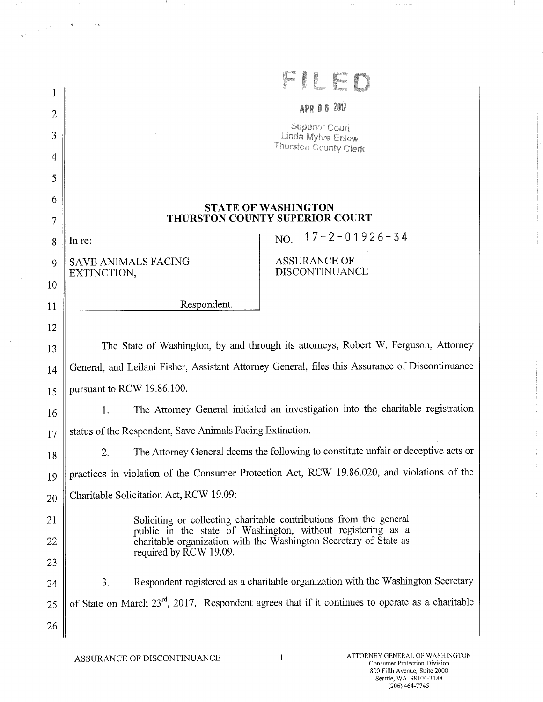| <b>BERKHA</b>            |                                                                                                                                  |  |  |  |  |  |
|--------------------------|----------------------------------------------------------------------------------------------------------------------------------|--|--|--|--|--|
| 1                        |                                                                                                                                  |  |  |  |  |  |
| $\overline{2}$           | <b>APR 06 2017</b>                                                                                                               |  |  |  |  |  |
| 3                        | Superior Court<br>Linda Myhre Enlow                                                                                              |  |  |  |  |  |
| 4                        | Thurston County Clerk                                                                                                            |  |  |  |  |  |
| 5                        |                                                                                                                                  |  |  |  |  |  |
| 6                        | <b>STATE OF WASHINGTON</b>                                                                                                       |  |  |  |  |  |
| $\overline{\mathcal{I}}$ | THURSTON COUNTY SUPERIOR COURT                                                                                                   |  |  |  |  |  |
| 8                        | $17 - 2 - 01926 - 34$<br>NO.<br>In re:                                                                                           |  |  |  |  |  |
| 9                        | <b>ASSURANCE OF</b><br><b>SAVE ANIMALS FACING</b><br><b>DISCONTINUANCE</b><br>EXTINCTION,                                        |  |  |  |  |  |
| 10                       |                                                                                                                                  |  |  |  |  |  |
| 11                       | Respondent.                                                                                                                      |  |  |  |  |  |
| 12                       |                                                                                                                                  |  |  |  |  |  |
| 13                       | The State of Washington, by and through its attorneys, Robert W. Ferguson, Attorney                                              |  |  |  |  |  |
| 14                       | General, and Leilani Fisher, Assistant Attorney General, files this Assurance of Discontinuance                                  |  |  |  |  |  |
| 15                       | pursuant to RCW 19.86.100.                                                                                                       |  |  |  |  |  |
| 16                       | The Attorney General initiated an investigation into the charitable registration<br>1.                                           |  |  |  |  |  |
| 17                       | status of the Respondent, Save Animals Facing Extinction.                                                                        |  |  |  |  |  |
| 18                       | The Attorney General deems the following to constitute unfair or deceptive acts or<br>2.                                         |  |  |  |  |  |
| 19                       | practices in violation of the Consumer Protection Act, RCW 19.86.020, and violations of the                                      |  |  |  |  |  |
| 20                       | Charitable Solicitation Act, RCW 19.09:                                                                                          |  |  |  |  |  |
| 21                       | Soliciting or collecting charitable contributions from the general                                                               |  |  |  |  |  |
| 22                       | public in the state of Washington, without registering as a<br>charitable organization with the Washington Secretary of State as |  |  |  |  |  |
| 23                       | required by RCW 19.09.                                                                                                           |  |  |  |  |  |
| 24                       | Respondent registered as a charitable organization with the Washington Secretary<br>3.                                           |  |  |  |  |  |
| 25                       | of State on March 23 <sup>rd</sup> , 2017. Respondent agrees that if it continues to operate as a charitable                     |  |  |  |  |  |
| 26                       |                                                                                                                                  |  |  |  |  |  |

- 11

 $\label{eq:2.1} \frac{1}{\left(\frac{1}{\sqrt{2}}\right)^{1/2}}\leq \frac{1}{\sqrt{2}}\qquad\qquad \text{as}\qquad \qquad \text{in}\qquad$ 

Consumer Protection Division 800 Fifth Avenue, Suite 2000 Seattle, WA 98104-3188 (206)464-7745

 $\mathcal{A}_\mathcal{A}$ 

 $\frac{1}{2}$ 

ŧ

 $\frac{1}{4}$ 

 $\overline{r}$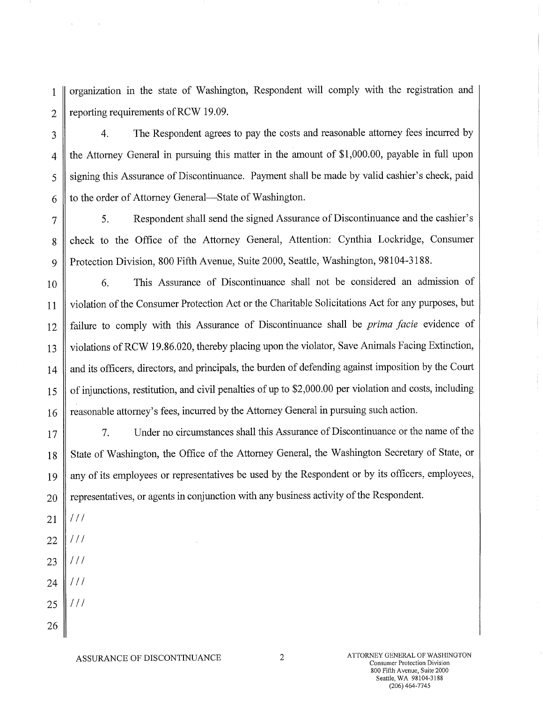1 || organization in the state of Washington, Respondent will comply with the registration and 2 | reporting requirements of RCW 19.09.

3 || 4. The Respondent agrees to pay the costs and reasonable attorney fees incurred by 4 the Attorney General in pursuing this matter in the amount of \$1,000.00, payable in full upon 5 Signing this Assurance of Discontinuance. Payment shall be made by valid cashier's check, paid  $6 \parallel$  to the order of Attorney General—State of Washington.

7 5. Respondent shall send the signed Assurance of Discontinuance and the cashier's 8 check to the Office of the Attorney General, Attention: Cynthia Lockridge, Consumer 9 Protection Division, 800 Fifth Avenue, Suite 2000, Seattle, Washington, 98104-3188.

10 6. This Assurance of Discontinuance shall not be considered an admission of 11 violation of the Consumer Protection Act or the Charitable Solicitations Act for any purposes, but 12 failure to comply with this Assurance of Discontinuance shall be *prima facie* evidence of 13 | violations of RCW 19.86.020, thereby placing upon the violator, Save Animals Facing Extinction, 14 || and its officers, directors, and principals, the burden of defending against imposition by the Court 15 | of injunctions, restitution, and civil penalties of up to \$2,000.00 per violation and costs, including 16 Treasonable attorney's fees, incurred by the Attorney General in pursuing such action.

17 || 2. Under no circumstances shall this Assurance of Discontinuance or the name of the 18 State of Washington, the Office of the Attorney General, the Washington Secretary of State, or 19 || any of its employees or representatives be used by the Respondent or by its officers, employees,  $20 \parallel$  representatives, or agents in conjunction with any business activity of the Respondent.

- 21  $111$
- $111$ 22
- 23  $111$
- 24  $111$
- $111$ 25

26